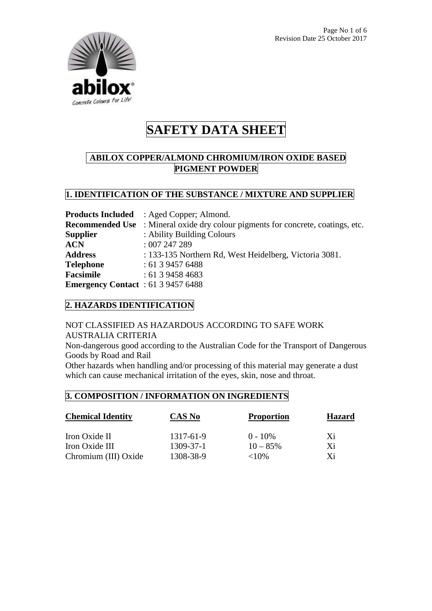

# **ABILOX COPPER/ALMOND CHROMIUM/IRON OXIDE BASED PIGMENT POWDER**

### **1. IDENTIFICATION OF THE SUBSTANCE / MIXTURE AND SUPPLIER**

|                                           | <b>Products Included</b> : Aged Copper; Almond.                                         |
|-------------------------------------------|-----------------------------------------------------------------------------------------|
|                                           | <b>Recommended Use</b> : Mineral oxide dry colour pigments for concrete, coatings, etc. |
| <b>Supplier</b>                           | : Ability Building Colours                                                              |
| <b>ACN</b>                                | :007247289                                                                              |
| <b>Address</b>                            | : 133-135 Northern Rd, West Heidelberg, Victoria 3081.                                  |
| <b>Telephone</b>                          | : 61394576488                                                                           |
| <b>Facsimile</b>                          | : 61394584683                                                                           |
| <b>Emergency Contact</b> : 61 3 9457 6488 |                                                                                         |

### **2. HAZARDS IDENTIFICATION**

# NOT CLASSIFIED AS HAZARDOUS ACCORDING TO SAFE WORK AUSTRALIA CRITERIA

Non-dangerous good according to the Australian Code for the Transport of Dangerous Goods by Road and Rail

Other hazards when handling and/or processing of this material may generate a dust which can cause mechanical irritation of the eyes, skin, nose and throat.

### **3. COMPOSITION / INFORMATION ON INGREDIENTS**

| <b>Chemical Identity</b> | CAS No    | <b>Proportion</b> | <b>Hazard</b> |
|--------------------------|-----------|-------------------|---------------|
| Iron Oxide II            | 1317-61-9 | $0 - 10\%$        | Xi            |
| Iron Oxide III           | 1309-37-1 | $10 - 85\%$       | Xi            |
| Chromium (III) Oxide     | 1308-38-9 | ${<}10\%$         | Xi            |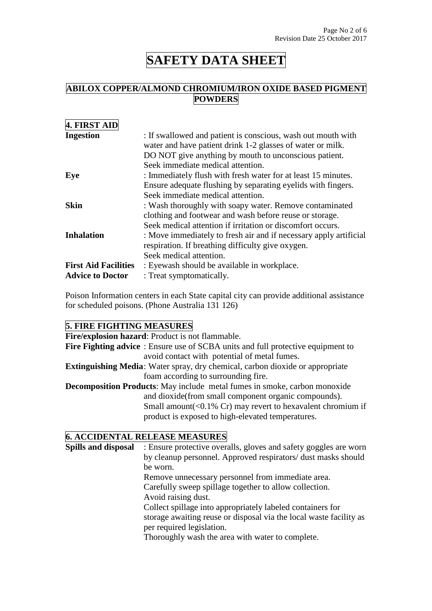# **ABILOX COPPER/ALMOND CHROMIUM/IRON OXIDE BASED PIGMENT POWDERS**

| 4. FIRST AID                |                                                                                                                                                                                                                          |
|-----------------------------|--------------------------------------------------------------------------------------------------------------------------------------------------------------------------------------------------------------------------|
| <b>Ingestion</b>            | : If swallowed and patient is conscious, wash out mouth with<br>water and have patient drink 1-2 glasses of water or milk.<br>DO NOT give anything by mouth to unconscious patient.<br>Seek immediate medical attention. |
| Eye                         | : Immediately flush with fresh water for at least 15 minutes.<br>Ensure adequate flushing by separating eyelids with fingers.<br>Seek immediate medical attention.                                                       |
| <b>Skin</b>                 | : Wash thoroughly with soapy water. Remove contaminated<br>clothing and footwear and wash before reuse or storage.<br>Seek medical attention if irritation or discomfort occurs.                                         |
| <b>Inhalation</b>           | : Move immediately to fresh air and if necessary apply artificial<br>respiration. If breathing difficulty give oxygen.<br>Seek medical attention.                                                                        |
| <b>First Aid Facilities</b> | : Eyewash should be available in workplace.                                                                                                                                                                              |
| <b>Advice to Doctor</b>     | : Treat symptomatically.                                                                                                                                                                                                 |

Poison Information centers in each State capital city can provide additional assistance for scheduled poisons. (Phone Australia 131 126)

# **5. FIRE FIGHTING MEASURES**

| Fire/explosion hazard: Product is not flammable.                                        |
|-----------------------------------------------------------------------------------------|
| <b>Fire Fighting advice</b> : Ensure use of SCBA units and full protective equipment to |
| avoid contact with potential of metal fumes.                                            |
| <b>Extinguishing Media:</b> Water spray, dry chemical, carbon dioxide or appropriate    |
| foam according to surrounding fire.                                                     |
| <b>Decomposition Products:</b> May include metal fumes in smoke, carbon monoxide        |
| and dioxide (from small component organic compounds).                                   |
| Small amount( $\langle 0.1\% \rangle$ Cr) may revert to hexavalent chromium if          |
| product is exposed to high-elevated temperatures.                                       |
|                                                                                         |

## **6. ACCIDENTAL RELEASE MEASURES**

| <b>Spills and disposal</b> | : Ensure protective overalls, gloves and safety goggles are worn   |
|----------------------------|--------------------------------------------------------------------|
|                            | by cleanup personnel. Approved respirators/ dust masks should      |
|                            | be worn.                                                           |
|                            | Remove unnecessary personnel from immediate area.                  |
|                            | Carefully sweep spillage together to allow collection.             |
|                            | Avoid raising dust.                                                |
|                            | Collect spillage into appropriately labeled containers for         |
|                            | storage awaiting reuse or disposal via the local waste facility as |
|                            | per required legislation.                                          |
|                            | Thoroughly wash the area with water to complete.                   |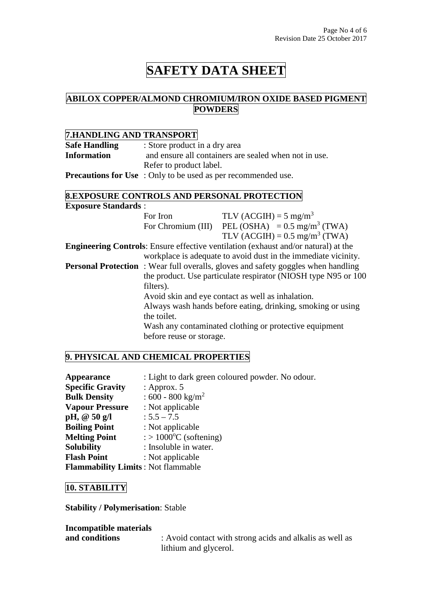### **ABILOX COPPER/ALMOND CHROMIUM/IRON OXIDE BASED PIGMENT POWDERS**

# **7.HANDLING AND TRANSPORT**

| <b>Safe Handling</b> | : Store product in a dry area                                        |  |
|----------------------|----------------------------------------------------------------------|--|
| <b>Information</b>   | and ensure all containers are sealed when not in use.                |  |
|                      | Refer to product label.                                              |  |
|                      | <b>Precautions for Use</b> : Only to be used as per recommended use. |  |

### **8.EXPOSURE CONTROLS AND PERSONAL PROTECTION**

| <b>Exposure Standards:</b>                        |                                                             |                                                                                           |  |
|---------------------------------------------------|-------------------------------------------------------------|-------------------------------------------------------------------------------------------|--|
|                                                   | For Iron                                                    | TLV (ACGIH) = $5 \text{ mg/m}^3$                                                          |  |
|                                                   |                                                             | For Chromium (III) PEL (OSHA) = $0.5 \text{ mg/m}^3$ (TWA)                                |  |
|                                                   |                                                             | TLV (ACGIH) = $0.5 \text{ mg/m}^3$ (TWA)                                                  |  |
|                                                   |                                                             | <b>Engineering Controls:</b> Ensure effective ventilation (exhaust and/or natural) at the |  |
|                                                   |                                                             | workplace is adequate to avoid dust in the immediate vicinity.                            |  |
|                                                   |                                                             | <b>Personal Protection</b> : Wear full overalls, gloves and safety goggles when handling  |  |
|                                                   |                                                             | the product. Use particulate respirator (NIOSH type N95 or 100)                           |  |
|                                                   | filters).                                                   |                                                                                           |  |
| Avoid skin and eye contact as well as inhalation. |                                                             |                                                                                           |  |
|                                                   | Always wash hands before eating, drinking, smoking or using |                                                                                           |  |
| the toilet.                                       |                                                             |                                                                                           |  |
|                                                   |                                                             | Wash any contaminated clothing or protective equipment                                    |  |
|                                                   | before reuse or storage.                                    |                                                                                           |  |

### **9. PHYSICAL AND CHEMICAL PROPERTIES**

| <b>Appearance</b>                         | : Light to dark green coloured powder. No odour. |
|-------------------------------------------|--------------------------------------------------|
| <b>Specific Gravity</b>                   | : Approx. $5$                                    |
| <b>Bulk Density</b>                       | $:600 - 800$ kg/m <sup>2</sup>                   |
| <b>Vapour Pressure</b>                    | : Not applicable                                 |
| pH, $@50 g/l$                             | $: 5.5 - 7.5$                                    |
| <b>Boiling Point</b>                      | : Not applicable                                 |
| <b>Melting Point</b>                      | $\therefore$ 1000 °C (softening)                 |
| <b>Solubility</b>                         | : Insoluble in water.                            |
| <b>Flash Point</b>                        | : Not applicable                                 |
| <b>Flammability Limits: Not flammable</b> |                                                  |

### **10. STABILITY**

**Stability / Polymerisation**: Stable

**Incompatible materials** 

**and conditions** : Avoid contact with strong acids and alkalis as well as lithium and glycerol.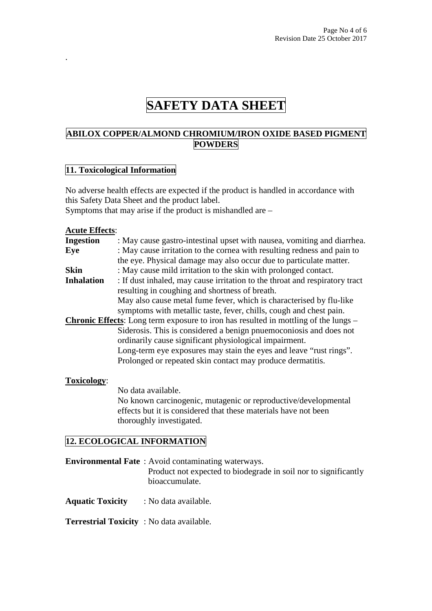### **ABILOX COPPER/ALMOND CHROMIUM/IRON OXIDE BASED PIGMENT POWDERS**

#### **11. Toxicological Information**

No adverse health effects are expected if the product is handled in accordance with this Safety Data Sheet and the product label. Symptoms that may arise if the product is mishandled are –

#### **Acute Effects**:

.

| <b>Ingestion</b>  | : May cause gastro-intestinal upset with nausea, vomiting and diarrhea.                    |
|-------------------|--------------------------------------------------------------------------------------------|
| Eye               | : May cause irritation to the cornea with resulting redness and pain to                    |
|                   | the eye. Physical damage may also occur due to particulate matter.                         |
| Skin              | : May cause mild irritation to the skin with prolonged contact.                            |
| <b>Inhalation</b> | : If dust inhaled, may cause irritation to the throat and respiratory tract                |
|                   | resulting in coughing and shortness of breath.                                             |
|                   | May also cause metal fume fever, which is characterised by flu-like                        |
|                   | symptoms with metallic taste, fever, chills, cough and chest pain.                         |
|                   | <b>Chronic Effects:</b> Long term exposure to iron has resulted in mottling of the lungs – |
|                   | Siderosis. This is considered a benign pnuemoconiosis and does not                         |
|                   | ordinarily cause significant physiological impairment.                                     |
|                   | Long-term eye exposures may stain the eyes and leave "rust rings".                         |
|                   | Prolonged or repeated skin contact may produce dermatitis.                                 |
|                   |                                                                                            |

#### **Toxicology**:

No data available.

No known carcinogenic, mutagenic or reproductive/developmental effects but it is considered that these materials have not been thoroughly investigated.

### **12. ECOLOGICAL INFORMATION**

| <b>Environmental Fate</b> : Avoid contaminating waterways.      |
|-----------------------------------------------------------------|
| Product not expected to biodegrade in soil nor to significantly |
| bioaccumulate.                                                  |
|                                                                 |

**Aquatic Toxicity** : No data available.

**Terrestrial Toxicity** : No data available.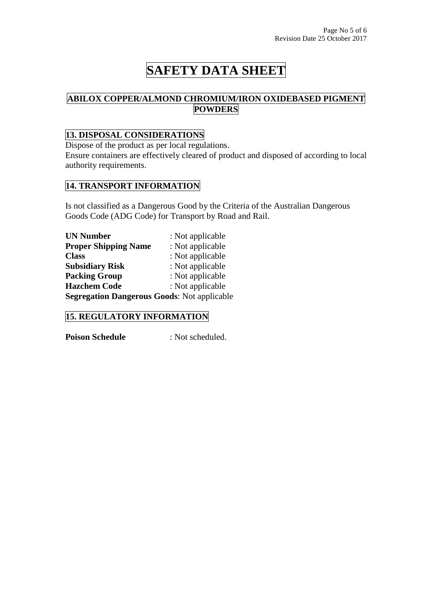# **ABILOX COPPER/ALMOND CHROMIUM/IRON OXIDEBASED PIGMENT POWDERS**

# **13. DISPOSAL CONSIDERATIONS**

Dispose of the product as per local regulations. Ensure containers are effectively cleared of product and disposed of according to local authority requirements.

#### **14. TRANSPORT INFORMATION**

Is not classified as a Dangerous Good by the Criteria of the Australian Dangerous Goods Code (ADG Code) for Transport by Road and Rail.

| <b>UN Number</b>                                   | : Not applicable |  |
|----------------------------------------------------|------------------|--|
| <b>Proper Shipping Name</b>                        | : Not applicable |  |
| <b>Class</b>                                       | : Not applicable |  |
| <b>Subsidiary Risk</b>                             | : Not applicable |  |
| <b>Packing Group</b>                               | : Not applicable |  |
| <b>Hazchem Code</b>                                | : Not applicable |  |
| <b>Segregation Dangerous Goods: Not applicable</b> |                  |  |

### **15. REGULATORY INFORMATION**

**Poison Schedule** : Not scheduled.